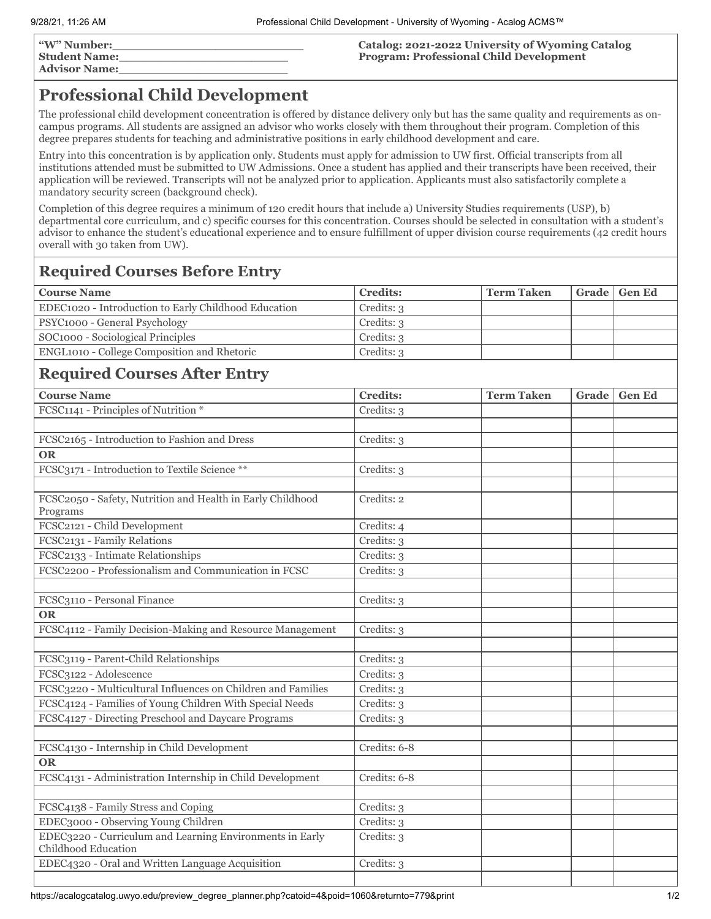| "W" Number:          |  |
|----------------------|--|
| <b>Student Name:</b> |  |
| <b>Advisor Name:</b> |  |

**Catalog: 2021-2022 University of Wyoming Catalog Program: Professional Child Development**

# **Professional Child Development**

The professional child development concentration is offered by distance delivery only but has the same quality and requirements as oncampus programs. All students are assigned an advisor who works closely with them throughout their program. Completion of this degree prepares students for teaching and administrative positions in early childhood development and care.

Entry into this concentration is by application only. Students must apply for admission to UW first. Official transcripts from all institutions attended must be submitted to UW Admissions. Once a student has applied and their transcripts have been received, their application will be reviewed. Transcripts will not be analyzed prior to application. Applicants must also satisfactorily complete a mandatory security screen (background check).

Completion of this degree requires a minimum of 120 credit hours that include a) University Studies requirements (USP), b) departmental core curriculum, and c) specific courses for this concentration. Courses should be selected in consultation with a student's advisor to enhance the student's educational experience and to ensure fulfillment of upper division course requirements (42 credit hours overall with 30 taken from UW).

## **Required Courses Before Entry**

| <b>Course Name</b>                                   | <b>Credits:</b> | <b>Term Taken</b> | Grade   Gen Ed |
|------------------------------------------------------|-----------------|-------------------|----------------|
| EDEC1020 - Introduction to Early Childhood Education | Credits: 3      |                   |                |
| PSYC1000 - General Psychology                        | Credits: 3      |                   |                |
| SOC1000 - Sociological Principles                    | Credits: 3      |                   |                |
| <b>ENGL1010 - College Composition and Rhetoric</b>   | Credits: 3      |                   |                |

### **Required Courses After Entry**

| <b>Course Name</b>                                                              | <b>Credits:</b> | <b>Term Taken</b> | Grade | <b>Gen Ed</b> |
|---------------------------------------------------------------------------------|-----------------|-------------------|-------|---------------|
| FCSC1141 - Principles of Nutrition *                                            | Credits: 3      |                   |       |               |
|                                                                                 |                 |                   |       |               |
| FCSC2165 - Introduction to Fashion and Dress                                    | Credits: 3      |                   |       |               |
| <b>OR</b>                                                                       |                 |                   |       |               |
| FCSC3171 - Introduction to Textile Science **                                   | Credits: 3      |                   |       |               |
|                                                                                 |                 |                   |       |               |
| FCSC2050 - Safety, Nutrition and Health in Early Childhood<br>Programs          | Credits: 2      |                   |       |               |
| FCSC2121 - Child Development                                                    | Credits: 4      |                   |       |               |
| FCSC2131 - Family Relations                                                     | Credits: 3      |                   |       |               |
| FCSC2133 - Intimate Relationships                                               | Credits: 3      |                   |       |               |
| FCSC2200 - Professionalism and Communication in FCSC                            | Credits: 3      |                   |       |               |
|                                                                                 |                 |                   |       |               |
| FCSC3110 - Personal Finance                                                     | Credits: 3      |                   |       |               |
| <b>OR</b>                                                                       |                 |                   |       |               |
| FCSC4112 - Family Decision-Making and Resource Management                       | Credits: 3      |                   |       |               |
|                                                                                 |                 |                   |       |               |
| FCSC3119 - Parent-Child Relationships                                           | Credits: 3      |                   |       |               |
| FCSC3122 - Adolescence                                                          | Credits: 3      |                   |       |               |
| FCSC3220 - Multicultural Influences on Children and Families                    | Credits: 3      |                   |       |               |
| FCSC4124 - Families of Young Children With Special Needs                        | Credits: 3      |                   |       |               |
| FCSC4127 - Directing Preschool and Daycare Programs                             | Credits: 3      |                   |       |               |
|                                                                                 |                 |                   |       |               |
| FCSC4130 - Internship in Child Development                                      | Credits: 6-8    |                   |       |               |
| <b>OR</b>                                                                       |                 |                   |       |               |
| FCSC4131 - Administration Internship in Child Development                       | Credits: 6-8    |                   |       |               |
|                                                                                 |                 |                   |       |               |
| FCSC4138 - Family Stress and Coping                                             | Credits: 3      |                   |       |               |
| EDEC3000 - Observing Young Children                                             | Credits: 3      |                   |       |               |
| EDEC3220 - Curriculum and Learning Environments in Early<br>Childhood Education | Credits: 3      |                   |       |               |
| EDEC4320 - Oral and Written Language Acquisition                                | Credits: 3      |                   |       |               |
|                                                                                 |                 |                   |       |               |